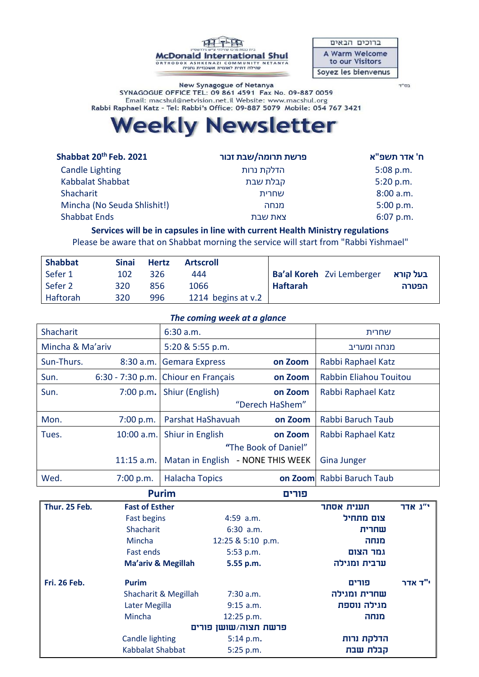

| ברוכים הבאים                      |
|-----------------------------------|
| A Warm Welcome<br>to our Visitors |
| Soyez les bienvenus               |

בס"ד

New Synagogue of Netanya SYNAGOGUE OFFICE TEL: 09 861 4591 Fax No. 09-887 0059 Email: macshul@netvision.net.il Website: www.macshul.org Rabbi Raphael Katz - Tel: Rabbi's Office: 09-887 5079 Mobile: 054 767 3421

# **Weekly Newsletter**

| פרשת תרומה/שבת זכור | ח' אדר תשפ"א |  |
|---------------------|--------------|--|
| הדלקת נרות          | $5:08$ p.m.  |  |
| קבלת שבת            | 5:20 p.m.    |  |
| שחרית               | 8:00 a.m.    |  |
| מנחה                | 5:00 p.m.    |  |
| צאת שבת             | $6:07$ p.m.  |  |
|                     |              |  |

**Services will be in capsules in line with current Health Ministry regulations** Please be aware that on Shabbat morning the service will start from "Rabbi Yishmael"

| <b>Shabbat</b> | <b>Sinai</b> | <b>Hertz</b> | <b>Artscroll</b>   |                           |          |
|----------------|--------------|--------------|--------------------|---------------------------|----------|
| Sefer 1        | 102          | 326          | 444                | Ba'al Koreh Zvi Lemberger | בעל הורא |
| Sefer 2        | 320          | 856          | 1066               | <b>Haftarah</b>           | הפטרה    |
| Haftorah       | 320          | 996          | 1214 begins at v.2 |                           |          |

### *The coming week at a glance*

|                  |              | <b>Purim</b>                        | פורים                                                     |                        |
|------------------|--------------|-------------------------------------|-----------------------------------------------------------|------------------------|
| Wed.             | 7:00 p.m.    | <b>Halacha Topics</b>               | on Zoom                                                   | Rabbi Baruch Taub      |
|                  | $11:15$ a.m. |                                     | "The Book of Daniel"<br>Matan in English - NONE THIS WEEK | <b>Gina Junger</b>     |
| Tues.            | $10:00$ a.m. | Shiur in English                    | on Zoom                                                   | Rabbi Raphael Katz     |
| Mon.             | 7:00 p.m.    | Parshat HaShavuah                   | on Zoom                                                   | Rabbi Baruch Taub      |
| Sun.             | 7:00 p.m.    | Shiur (English)                     | on Zoom<br>"Derech HaShem"                                | Rabbi Raphael Katz     |
| Sun.             |              | 6:30 - 7:30 p.m. Chiour en Français | on Zoom                                                   | Rabbin Eliahou Touitou |
| Sun-Thurs.       |              | 8:30 a.m. Gemara Express            | on Zoom                                                   | Rabbi Raphael Katz     |
| Mincha & Ma'ariv |              | 5:20 & 5:55 p.m.                    |                                                           | מנחה ומעריב            |
| Shacharit        |              | 6:30 a.m.                           |                                                           | שחרית                  |

| Thur. 25 Feb.       | <b>Fast of Esther</b>  |                      | תענית אסתר   | י"ג אדר |
|---------------------|------------------------|----------------------|--------------|---------|
|                     | <b>Fast begins</b>     | $4:59$ a.m.          | צום מתחיל    |         |
|                     | Shacharit              | $6:30$ a.m.          | שחרית        |         |
|                     | Mincha                 | 12:25 & 5:10 p.m.    | מנחה         |         |
|                     | Fast ends              | 5:53 p.m.            | גמר הצום     |         |
|                     | Ma'ariv & Megillah     | 5.55 p.m.            | ערבית ומגילה |         |
| <b>Fri. 26 Feb.</b> | <b>Purim</b>           |                      | פורים        | י"ד אדר |
|                     | Shacharit & Megillah   | 7:30 a.m.            | שחרית ומגילה |         |
|                     | Later Megilla          | $9:15$ a.m.          | מגילה נוספת  |         |
|                     | Mincha                 | 12:25 p.m.           | מנחה         |         |
|                     |                        | פרשת תצוה/שושן פורים |              |         |
|                     | <b>Candle lighting</b> | 5:14 p.m.            | הדלקת נרות   |         |
|                     | Kabbalat Shabbat       | 5:25 p.m.            | קבלת שבת     |         |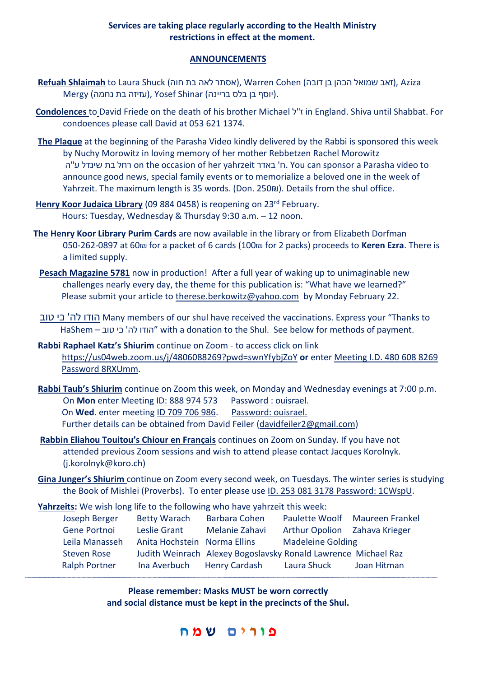## **Services are taking place regularly according to the Health Ministry restrictions in effect at the moment.**

### **ANNOUNCEMENTS**

- Aziza ,(זאב שמואל הכהן בן דובה) Cohen Warren ,(אסתר לאה בת חוה) Shuck Laura to **Shlaimah Refuah**  .(יוסף בן בלס בריינה( Shinar Yosef ,(עזיזה בת נחמה) Mergy
- **Condolences** to David Friede on the death of his brother Michael ל"ז in England. Shiva until Shabbat. For condoences please call David at 053 621 1374.
- **The Plaque** at the beginning of the Parasha Video kindly delivered by the Rabbi is sponsored this week by Nuchy Morowitz in loving memory of her mother Rebbetzen Rachel Morowitz ה" באדר on the occasion of her yahrzeit באדר. You can sponsor a Parasha video to announce good news, special family events or to memorialize a beloved one in the week of Yahrzeit. The maximum length is 35 words. (Don. 250₪). Details from the shul office.
- **Henry Koor Judaica Library** (09 884 0458) is reopening on 23<sup>rd</sup> February. Hours: Tuesday, Wednesday & Thursday 9:30 a.m. – 12 noon.
- **The Henry Koor Library Purim Cards** are now available in the library or from Elizabeth Dorfman 050-262-0897 at 60**₪** for a packet of 6 cards (100**₪** for 2 packs) proceeds to **Keren Ezra**. There is a limited supply.
	- **Pesach Magazine 5781** now in production! After a full year of waking up to unimaginable new challenges nearly every day, the theme for this publication is: "What have we learned?" Please submit your article to [therese.berkowitz@yahoo.com](mailto:therese.berkowitz@yahoo.com) by Monday February 22.
	- טוב כי' לה הודו Many members of our shul have received the vaccinations. Express your "Thanks to HaShem – הודו לה' כי טוב<sup>"</sup> with a donation to the Shul. See below for methods of payment.
- **Rabbi Raphael Katz's Shiurim** continue on Zoom to access click on link <https://us04web.zoom.us/j/4806088269?pwd=swnYfybjZoY> **or** enter Meeting I.D. 480 608 8269 Password 8RXUmm.
- **Rabbi Taub's Shiurim** continue on Zoom this week, on Monday and Wednesday evenings at 7:00 p.m. On **Mon** enter Meeting ID: 888 974 573 Password : ouisrael. On **Wed**. enter meeting ID 709 706 986. Password: ouisrael. Further details can be obtained from David Feiler [\(davidfeiler2@gmail.com\)](mailto:davidfeiler2@gmail.com)
- **Rabbin Eliahou Touitou's Chiour en Français** continues on Zoom on Sunday. If you have not attended previous Zoom sessions and wish to attend please contact Jacques Korolnyk. (j.korolnyk@koro.ch)
- **Gina Junger's Shiurim** continue on Zoom every second week, on Tuesdays. The winter series is studying the Book of Mishlei (Proverbs). To enter please use ID. 253 081 3178 Password: 1CWspU.
- **Yahrzeits:** We wish long life to the following who have yahrzeit this week:

| Joseph Berger        | <b>Betty Warach</b>          | <b>Barbara Cohen</b>                                           | Paulette Woolf Maureen Frankel |             |
|----------------------|------------------------------|----------------------------------------------------------------|--------------------------------|-------------|
| Gene Portnoi         | Leslie Grant                 | Melanie Zahavi                                                 | Arthur Opolion Zahava Krieger  |             |
| Leila Manasseh       | Anita Hochstein Norma Ellins |                                                                | <b>Madeleine Golding</b>       |             |
| <b>Steven Rose</b>   |                              | Judith Weinrach Alexey Bogoslavsky Ronald Lawrence Michael Raz |                                |             |
| <b>Ralph Portner</b> | Ina Averbuch                 | <b>Henry Cardash</b>                                           | Laura Shuck                    | Joan Hitman |

**Please remember: Masks MUST be worn correctly and social distance must be kept in the precincts of the Shul.**

**----------------------------------------------------------------------------------------------------------------------------------------------------------------------------------------------------------------------------------------------------------------------------------------------------------------------------------------------------------------------------------------------------------------------------------**

# **פ ו ר י ם ש מ ח**